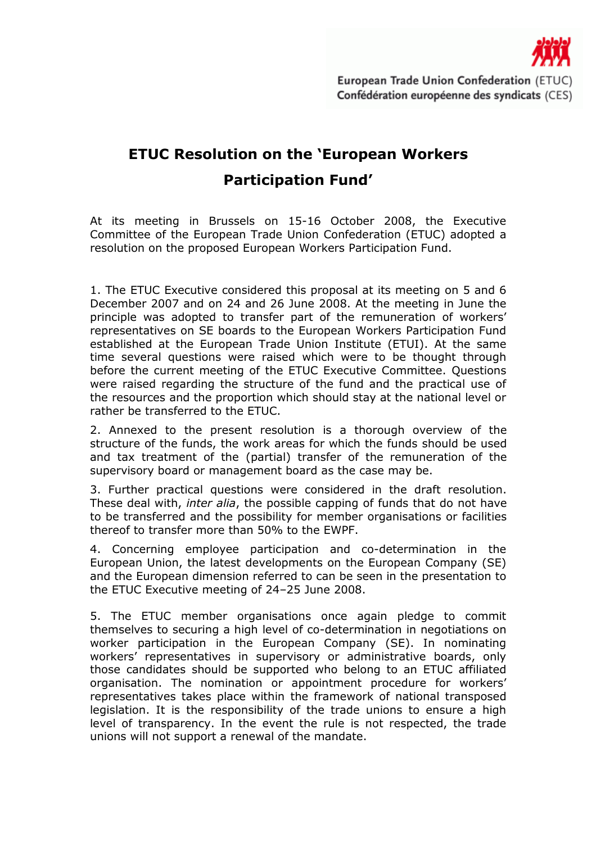Confédération européenne des syndicats (CES)

## ETUC Resolution on the 'European Workers Participation Fund'

At its meeting in Brussels on 15-16 October 2008, the Executive Committee of the European Trade Union Confederation (ETUC) adopted a resolution on the proposed European Workers Participation Fund.

1. The ETUC Executive considered this proposal at its meeting on 5 and 6 December 2007 and on 24 and 26 June 2008. At the meeting in June the principle was adopted to transfer part of the remuneration of workers' representatives on SE boards to the European Workers Participation Fund established at the European Trade Union Institute (ETUI). At the same time several questions were raised which were to be thought through before the current meeting of the ETUC Executive Committee. Questions were raised regarding the structure of the fund and the practical use of the resources and the proportion which should stay at the national level or rather be transferred to the ETUC.

2. Annexed to the present resolution is a thorough overview of the structure of the funds, the work areas for which the funds should be used and tax treatment of the (partial) transfer of the remuneration of the supervisory board or management board as the case may be.

3. Further practical questions were considered in the draft resolution. These deal with, *inter alia*, the possible capping of funds that do not have to be transferred and the possibility for member organisations or facilities thereof to transfer more than 50% to the EWPF.

4. Concerning employee participation and co-determination in the European Union, the latest developments on the European Company (SE) and the European dimension referred to can be seen in the presentation to the ETUC Executive meeting of 24–25 June 2008.

5. The ETUC member organisations once again pledge to commit themselves to securing a high level of co-determination in negotiations on worker participation in the European Company (SE). In nominating workers' representatives in supervisory or administrative boards, only those candidates should be supported who belong to an ETUC affiliated organisation. The nomination or appointment procedure for workers' representatives takes place within the framework of national transposed legislation. It is the responsibility of the trade unions to ensure a high level of transparency. In the event the rule is not respected, the trade unions will not support a renewal of the mandate.